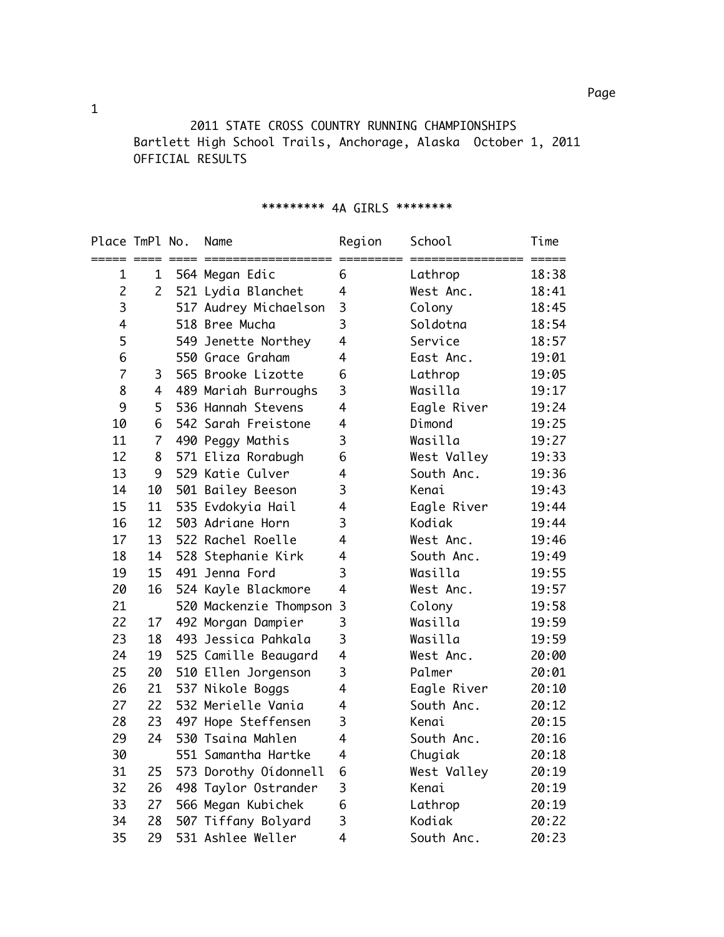2011 STATE CROSS COUNTRY RUNNING CHAMPIONSHIPS Bartlett High School Trails, Anchorage, Alaska October 1, 2011 OFFICIAL RESULTS

## \*\*\*\*\*\*\*\*\* 4A GIRLS \*\*\*\*\*\*\*\*

| Place TmPl No. |                | Name                   | Region         | School      | Time  |
|----------------|----------------|------------------------|----------------|-------------|-------|
| 1              | 1              | 564 Megan Edic         | 6              | Lathrop     | 18:38 |
| $\overline{c}$ | $\overline{2}$ | 521 Lydia Blanchet     | 4              | West Anc.   | 18:41 |
| 3              |                | 517 Audrey Michaelson  | 3              | Colony      | 18:45 |
| 4              |                | 518 Bree Mucha         | 3              | Soldotna    | 18:54 |
| 5              |                | 549 Jenette Northey    | $\overline{4}$ | Service     | 18:57 |
| 6              |                | 550 Grace Graham       | 4              | East Anc.   | 19:01 |
| $\overline{7}$ | 3              | 565 Brooke Lizotte     | 6              | Lathrop     | 19:05 |
| 8              | 4              | 489 Mariah Burroughs   | 3              | Wasilla     | 19:17 |
| 9              | 5              | 536 Hannah Stevens     | 4              | Eagle River | 19:24 |
| 10             | 6              | 542 Sarah Freistone    | 4              | Dimond      | 19:25 |
| 11             | $\overline{7}$ | 490 Peggy Mathis       | 3              | Wasilla     | 19:27 |
| 12             | 8              | 571 Eliza Rorabugh     | 6              | West Valley | 19:33 |
| 13             | 9              | 529 Katie Culver       | $\overline{4}$ | South Anc.  | 19:36 |
| 14             | 10             | 501 Bailey Beeson      | 3              | Kenai       | 19:43 |
| 15             | 11             | 535 Evdokyia Hail      | $\overline{4}$ | Eagle River | 19:44 |
| 16             | 12             | 503 Adriane Horn       | 3              | Kodiak      | 19:44 |
| 17             | 13             | 522 Rachel Roelle      | 4              | West Anc.   | 19:46 |
| 18             | 14             | 528 Stephanie Kirk     | $\overline{4}$ | South Anc.  | 19:49 |
| 19             | 15             | 491 Jenna Ford         | 3              | Wasilla     | 19:55 |
| 20             | 16             | 524 Kayle Blackmore    | $\overline{4}$ | West Anc.   | 19:57 |
| 21             |                | 520 Mackenzie Thompson | 3              | Colony      | 19:58 |
| 22             | 17             | 492 Morgan Dampier     | 3              | Wasilla     | 19:59 |
| 23             | 18             | 493 Jessica Pahkala    | 3              | Wasilla     | 19:59 |
| 24             | 19             | 525 Camille Beaugard   | $\overline{4}$ | West Anc.   | 20:00 |
| 25             | 20             | 510 Ellen Jorgenson    | 3              | Palmer      | 20:01 |
| 26             | 21             | 537 Nikole Boggs       | $\overline{4}$ | Eagle River | 20:10 |
| 27             | 22             | 532 Merielle Vania     | $\overline{4}$ | South Anc.  | 20:12 |
| 28             | 23             | 497 Hope Steffensen    | 3              | Kenai       | 20:15 |
| 29             | 24             | 530 Tsaina Mahlen      | 4              | South Anc.  | 20:16 |
| 30             |                | 551 Samantha Hartke    | $\overline{4}$ | Chugiak     | 20:18 |
| 31             | 25             | 573 Dorothy Oidonnell  | 6              | West Valley | 20:19 |
| 32             | 26             | 498 Taylor Ostrander   | 3              | Kenai       | 20:19 |
| 33             | 27             | 566 Megan Kubichek     | 6              | Lathrop     | 20:19 |
| 34             | 28             | 507 Tiffany Bolyard    | 3              | Kodiak      | 20:22 |
| 35             | 29             | 531 Ashlee Weller      | $\overline{4}$ | South Anc.  | 20:23 |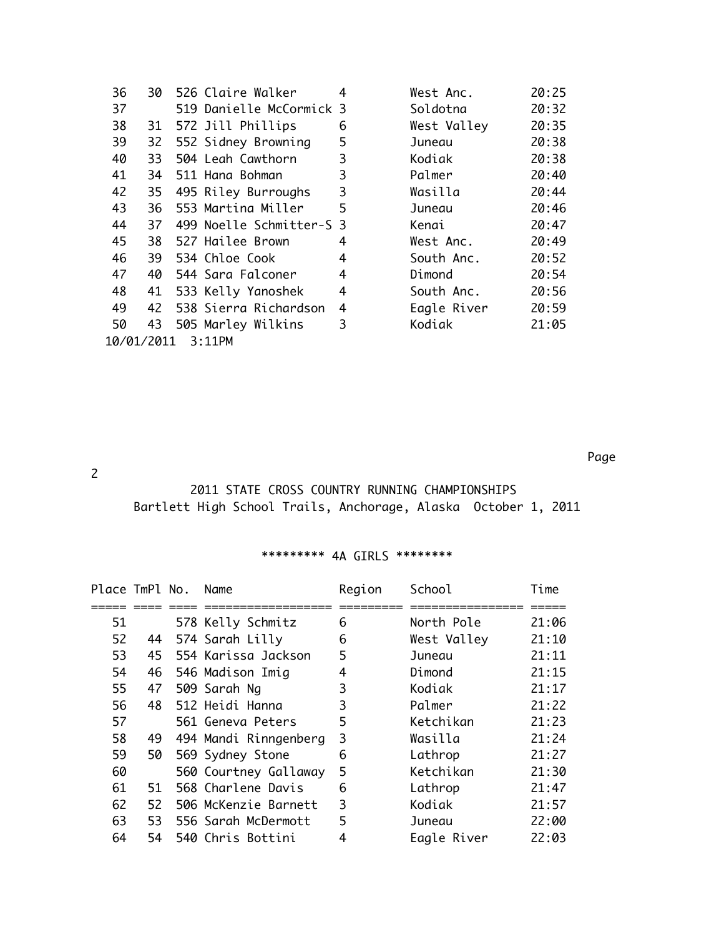| 36                   | 30 |  | 526 Claire Walker        | 4              | West Anc.   | 20:25 |
|----------------------|----|--|--------------------------|----------------|-------------|-------|
| 37                   |    |  | 519 Danielle McCormick 3 |                | Soldotna    | 20:32 |
| 38                   |    |  | 31 572 Jill Phillips     | 6              | West Valley | 20:35 |
| 39                   | 32 |  | 552 Sidney Browning      | 5              | Juneau      | 20:38 |
| 40                   | 33 |  | 504 Leah Cawthorn        | 3              | Kodiak      | 20:38 |
| 41                   |    |  | 34 511 Hana Bohman       | 3              | Palmer      | 20:40 |
| 42                   | 35 |  | 495 Riley Burroughs      | 3              | Wasilla     | 20:44 |
| 43                   | 36 |  | 553 Martina Miller       | 5              | Juneau      | 20:46 |
| 44                   | 37 |  | 499 Noelle Schmitter-S 3 |                | Kenai       | 20:47 |
| 45                   | 38 |  | 527 Hailee Brown         | 4              | West Anc.   | 20:49 |
| 46                   |    |  | 39 534 Chloe Cook        | 4              | South Anc.  | 20:52 |
| 47                   |    |  | 40 544 Sara Falconer     | 4              | Dimond      | 20:54 |
| 48                   | 41 |  | 533 Kelly Yanoshek       | $\overline{4}$ | South Anc.  | 20:56 |
| 49                   |    |  | 42 538 Sierra Richardson | 4              | Eagle River | 20:59 |
| 50                   | 43 |  | 505 Marley Wilkins       | 3              | Kodiak      | 21:05 |
| 10/01/2011<br>3:11PM |    |  |                          |                |             |       |

| West Anc.   | 20:25 |
|-------------|-------|
| Soldotna    | 20:32 |
| West Valley | 20:35 |
| Juneau      | 20:38 |
| Kodiak      | 20:38 |
| Palmer      | 20:40 |
| Wasilla     | 20:44 |
| Juneau      | 20:46 |
| Kenai       | 20:47 |
| West Anc.   | 20:49 |
| South Anc.  | 20:52 |
| Dimond      | 20:54 |
| South Anc.  | 20:56 |
| Eagle River | 20:59 |
| Kodiak      | 21:05 |
|             |       |

Page

## 2

## 2011 STATE CROSS COUNTRY RUNNING CHAMPIONSHIPS Bartlett High School Trails, Anchorage, Alaska October 1, 2011

## \*\*\*\*\*\*\*\*\* 4A GIRLS \*\*\*\*\*\*\*\*

| Place TmPl No. |     | Name                  | Region | School      | Time  |
|----------------|-----|-----------------------|--------|-------------|-------|
|                |     |                       |        |             |       |
| 51             |     | 578 Kelly Schmitz     | 6      | North Pole  | 21:06 |
| 52             | 44  | 574 Sarah Lilly       | 6      | West Valley | 21:10 |
| 53             | 45  | 554 Karissa Jackson   | 5      | Juneau      | 21:11 |
| 54             | 46  | 546 Madison Imig      | 4      | Dimond      | 21:15 |
| 55             | 47  | 509 Sarah Ng          | 3      | Kodiak      | 21:17 |
| 56             | 48  | 512 Heidi Hanna       | 3      | Palmer      | 21:22 |
| 57             |     | 561 Geneva Peters     | 5      | Ketchikan   | 21:23 |
| 58             | 49  | 494 Mandi Rinngenberg | 3      | Wasilla     | 21:24 |
| 59             | 50  | 569 Sydney Stone      | 6      | Lathrop     | 21:27 |
| 60             |     | 560 Courtney Gallaway | 5      | Ketchikan   | 21:30 |
| 61             | 51. | 568 Charlene Davis    | 6      | Lathrop     | 21:47 |
| 62             | 52  | 506 McKenzie Barnett  | 3      | Kodiak      | 21:57 |
| 63             | 53  | 556 Sarah McDermott   | 5      | Juneau      | 22:00 |
| 64             | 54  | 540 Chris Bottini     | 4      | Eagle River | 22:03 |